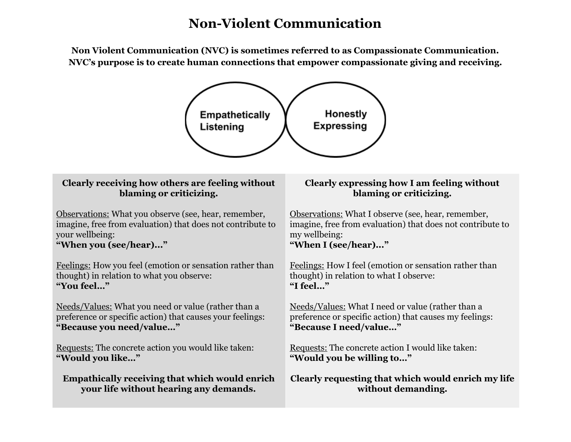# **Non-Violent Communication**

**Non Violent Communication (NVC) is sometimes referred to as Compassionate Communication. NVC's purpose is to create human connections that empower compassionate giving and receiving.**